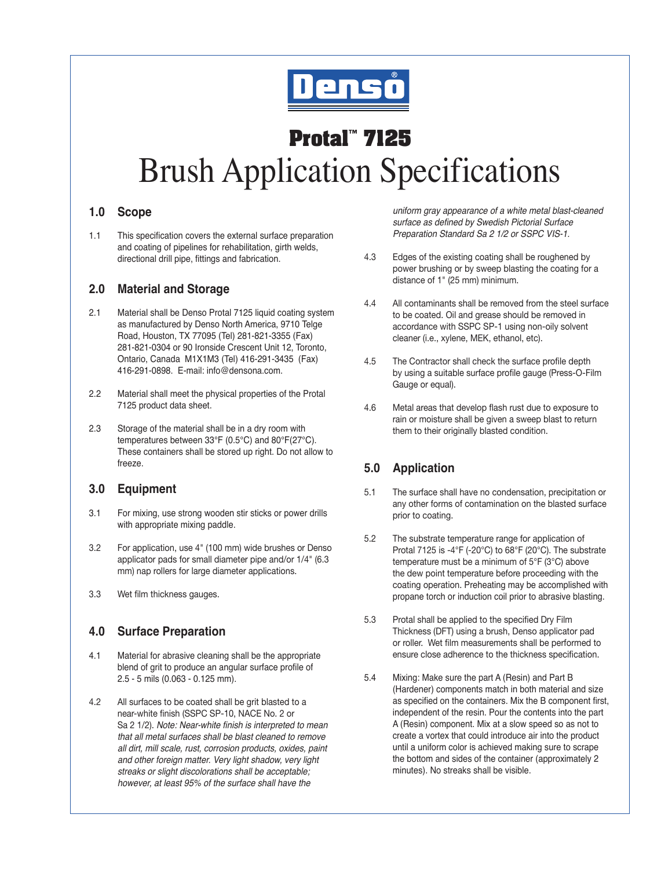

# **Protal™ 7125** Brush Application Specifications

#### **1.0 Scope**

1.1 This specification covers the external surface preparation and coating of pipelines for rehabilitation, girth welds, directional drill pipe, fittings and fabrication.

#### **2.0 Material and Storage**

- 2.1 Material shall be Denso Protal 7125 liquid coating system as manufactured by Denso North America, 9710 Telge Road, Houston, TX 77095 (Tel) 281-821-3355 (Fax) 281-821-0304 or 90 Ironside Crescent Unit 12, Toronto, Ontario, Canada M1X1M3 (Tel) 416-291-3435 (Fax) 416-291-0898. E-mail: info@densona.com.
- 2.2 Material shall meet the physical properties of the Protal 7125 product data sheet.
- 2.3 Storage of the material shall be in a dry room with temperatures between 33°F (0.5°C) and 80°F(27°C). These containers shall be stored up right. Do not allow to freeze.

# **3.0 Equipment**

- 3.1 For mixing, use strong wooden stir sticks or power drills with appropriate mixing paddle.
- 3.2 For application, use 4" (100 mm) wide brushes or Denso applicator pads for small diameter pipe and/or 1/4" (6.3 mm) nap rollers for large diameter applications.
- 3.3 Wet film thickness gauges.

# **4.0 Surface Preparation**

- 4.1 Material for abrasive cleaning shall be the appropriate blend of grit to produce an angular surface profile of 2.5 - 5 mils (0.063 - 0.125 mm).
- 4.2 All surfaces to be coated shall be grit blasted to a near-white finish (SSPC SP-10, NACE No. 2 or Sa 2 1/2). *Note: Near-white finish is interpreted to mean that all metal surfaces shall be blast cleaned to remove all dirt, mill scale, rust, corrosion products, oxides, paint and other foreign matter. Very light shadow, very light streaks or slight discolorations shall be acceptable; however, at least 95% of the surface shall have the*

*uniform gray appearance of a white metal blast-cleaned*  surface as defined by Swedish Pictorial Surface *Preparation Standard Sa 2 1/2 or SSPC VIS-1.*

- 4.3 Edges of the existing coating shall be roughened by power brushing or by sweep blasting the coating for a distance of 1" (25 mm) minimum.
- 4.4 All contaminants shall be removed from the steel surface to be coated. Oil and grease should be removed in accordance with SSPC SP-1 using non-oily solvent cleaner (i.e., xylene, MEK, ethanol, etc).
- 4.5 The Contractor shall check the surface profile depth by using a suitable surface profile gauge (Press-O-Film Gauge or equal).
- 4.6 Metal areas that develop flash rust due to exposure to rain or moisture shall be given a sweep blast to return them to their originally blasted condition.

# **5.0 Application**

- 5.1 The surface shall have no condensation, precipitation or any other forms of contamination on the blasted surface prior to coating.
- 5.2 The substrate temperature range for application of Protal 7125 is -4°F (-20°C) to 68°F (20°C). The substrate temperature must be a minimum of 5°F (3°C) above the dew point temperature before proceeding with the coating operation. Preheating may be accomplished with propane torch or induction coil prior to abrasive blasting.
- 5.3 Protal shall be applied to the specified Dry Film Thickness (DFT) using a brush, Denso applicator pad or roller. Wet film measurements shall be performed to ensure close adherence to the thickness specification.
- 5.4 Mixing: Make sure the part A (Resin) and Part B (Hardener) components match in both material and size as specified on the containers. Mix the B component first, independent of the resin. Pour the contents into the part A (Resin) component. Mix at a slow speed so as not to create a vortex that could introduce air into the product until a uniform color is achieved making sure to scrape the bottom and sides of the container (approximately 2 minutes). No streaks shall be visible.